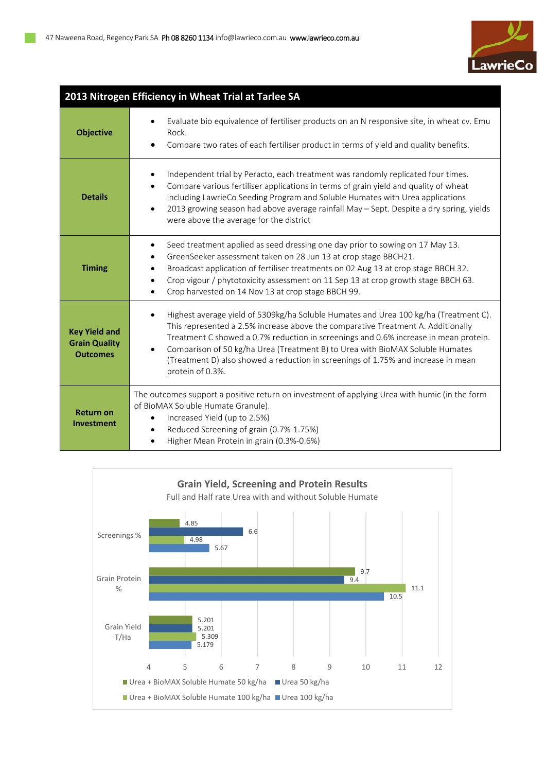

| 2013 Nitrogen Efficiency in Wheat Trial at Tarlee SA            |                                                                                                                                                                                                                                                                                                                                                                                                                                                            |  |  |  |  |  |  |
|-----------------------------------------------------------------|------------------------------------------------------------------------------------------------------------------------------------------------------------------------------------------------------------------------------------------------------------------------------------------------------------------------------------------------------------------------------------------------------------------------------------------------------------|--|--|--|--|--|--|
| <b>Objective</b>                                                | Evaluate bio equivalence of fertiliser products on an N responsive site, in wheat cv. Emu<br>Rock.<br>Compare two rates of each fertiliser product in terms of yield and quality benefits.                                                                                                                                                                                                                                                                 |  |  |  |  |  |  |
| <b>Details</b>                                                  | Independent trial by Peracto, each treatment was randomly replicated four times.<br>Compare various fertiliser applications in terms of grain yield and quality of wheat<br>including LawrieCo Seeding Program and Soluble Humates with Urea applications<br>2013 growing season had above average rainfall May - Sept. Despite a dry spring, yields<br>were above the average for the district                                                            |  |  |  |  |  |  |
| <b>Timing</b>                                                   | Seed treatment applied as seed dressing one day prior to sowing on 17 May 13.<br>$\bullet$<br>GreenSeeker assessment taken on 28 Jun 13 at crop stage BBCH21.<br>Broadcast application of fertiliser treatments on 02 Aug 13 at crop stage BBCH 32.<br>Crop vigour / phytotoxicity assessment on 11 Sep 13 at crop growth stage BBCH 63.<br>Crop harvested on 14 Nov 13 at crop stage BBCH 99.                                                             |  |  |  |  |  |  |
| <b>Key Yield and</b><br><b>Grain Quality</b><br><b>Outcomes</b> | Highest average yield of 5309kg/ha Soluble Humates and Urea 100 kg/ha (Treatment C).<br>This represented a 2.5% increase above the comparative Treatment A. Additionally<br>Treatment C showed a 0.7% reduction in screenings and 0.6% increase in mean protein.<br>Comparison of 50 kg/ha Urea (Treatment B) to Urea with BioMAX Soluble Humates<br>(Treatment D) also showed a reduction in screenings of 1.75% and increase in mean<br>protein of 0.3%. |  |  |  |  |  |  |
| <b>Return on</b><br><b>Investment</b>                           | The outcomes support a positive return on investment of applying Urea with humic (in the form<br>of BioMAX Soluble Humate Granule).<br>Increased Yield (up to 2.5%)<br>Reduced Screening of grain (0.7%-1.75%)<br>Higher Mean Protein in grain (0.3%-0.6%)                                                                                                                                                                                                 |  |  |  |  |  |  |